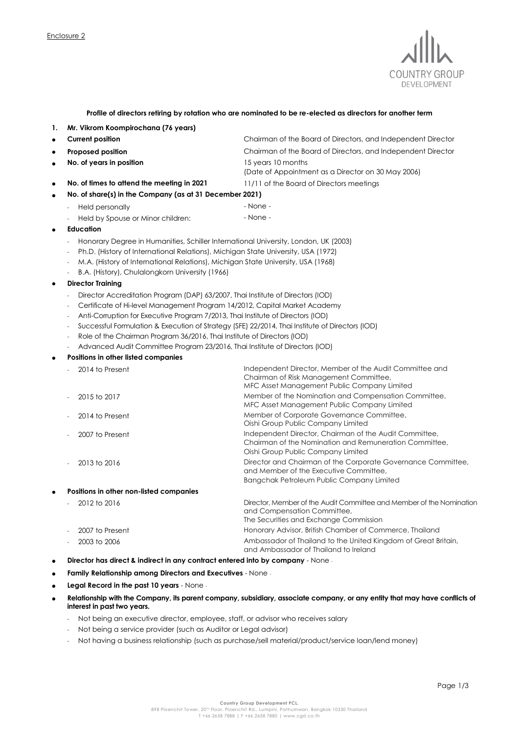

## **Profile of directors retiring by rotation who are nominated to be re-elected as directors for another term**

- **1. Mr. Vikrom Koompirochana (76 years)**
- 
- 
- **No. of years in position** 15 years 10 months

**Current position** Chairman of the Board of Directors, and Independent Director **Proposed position** Chairman of the Board of Directors, and Independent Director

(Date of Appointment as a Director on 30 May 2006)

- No. of times to attend the meeting in 2021 11/11 of the Board of Directors meetings
	- **No. of share(s) in the Company (as at 31 December 2021)**
	- Held personally  $\overline{\phantom{a}}$  None -
	- Held by Spouse or Minor children: None -
- **Education**
	- Honorary Degree in Humanities, Schiller International University, London, UK (2003)
	- Ph.D. (History of International Relations), Michigan State University, USA (1972)
	- M.A. (History of International Relations), Michigan State University, USA (1968)
	- B.A. (History), Chulalongkorn University (1966)
- **Director Training**
	- Director Accreditation Program (DAP) 63/2007, Thai Institute of Directors (IOD)
	- Certificate of Hi-level Management Program 14/2012, Capital Market Academy
	- Anti-Corruption for Executive Program 7/2013, Thai Institute of Directors (IOD)
	- Successful Formulation & Execution of Strategy (SFE) 22/2014, Thai Institute of Directors (IOD)
	- Role of the Chairman Program 36/2016, Thai Institute of Directors (IOD)
	- Advanced Audit Committee Program 23/2016, Thai Institute of Directors (IOD)

## **Positions in other listed companies**

|           | 2014 to Present                         | Independent Director, Member of the Audit Committee and<br>Chairman of Risk Management Committee,<br>MFC Asset Management Public Company Limited       |
|-----------|-----------------------------------------|--------------------------------------------------------------------------------------------------------------------------------------------------------|
|           | 2015 to 2017                            | Member of the Nomination and Compensation Committee,<br>MFC Asset Management Public Company Limited                                                    |
|           | 2014 to Present                         | Member of Corporate Governance Committee,<br>Oishi Group Public Company Limited                                                                        |
|           | 2007 to Present                         | Independent Director, Chairman of the Audit Committee,<br>Chairman of the Nomination and Remuneration Committee,<br>Oishi Group Public Company Limited |
|           | 2013 to 2016                            | Director and Chairman of the Corporate Governance Committee,<br>and Member of the Executive Committee.<br>Bangchak Petroleum Public Company Limited    |
| $\bullet$ | Positions in other non-listed companies |                                                                                                                                                        |
|           | 2012 to 2016                            | Director, Member of the Audit Committee and Member of the Nomination<br>and Compensation Committee,<br>The Securities and Exchange Commission          |
|           | 2007 to Present                         | Honorary Advisor, British Chamber of Commerce, Thailand                                                                                                |
|           | $2003$ to $2006$                        | Ambassador of Thailand to the United Kinadom of Great Britain.                                                                                         |

- and Ambassador of Thailand to Ireland
- **Director has direct & indirect in any contract entered into by company**  None -
- **Family Relationship among Directors and Executives** None -
- **Legal Record in the past 10 years** None -
- **Relationship with the Company, its parent company, subsidiary, associate company, or any entity that may have conflicts of interest in past two years.**
	- Not being an executive director, employee, staff, or advisor who receives salary
	- Not being a service provider (such as Auditor or Legal advisor)
	- Not having a business relationship (such as purchase/sell material/product/service loan/lend money)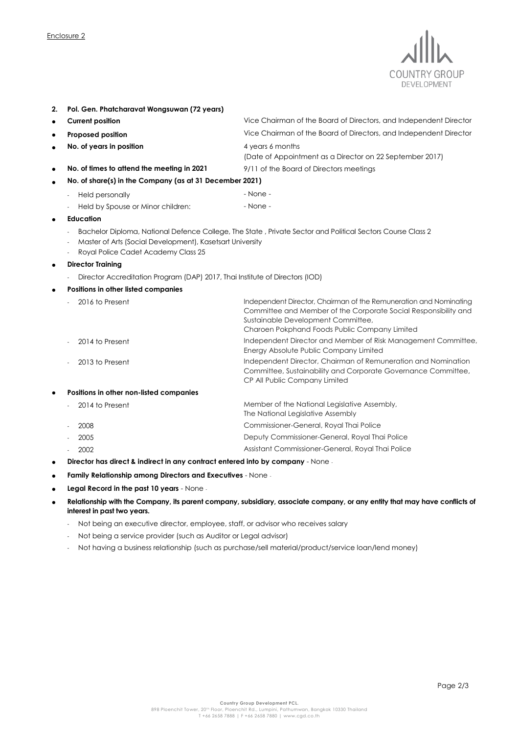

- **2. Pol. Gen. Phatcharavat Wongsuwan (72 years)**
- **Current position** Vice Chairman of the Board of Directors, and Independent Director
- **Proposed position Proposed position Vice Chairman of the Board of Directors**, and Independent Director
- **No. of years in position A** years 6 months
	- (Date of Appointment as a Director on 22 September 2017) **No. of times to attend the meeting in 2021** 9/11 of the Board of Directors meetings
- **No. of share(s) in the Company (as at 31 December 2021)**
	-
	- Held personally  **None None -**
	- Held by Spouse or Minor children: None -
- **Education**
	- Bachelor Diploma, National Defence College, The State , Private Sector and Political Sectors Course Class 2
	- Master of Arts (Social Development), Kasetsart University
	- Royal Police Cadet Academy Class 25
- **Director Training**
	- Director Accreditation Program (DAP) 2017, Thai Institute of Directors (IOD)

| $\bullet$                                            | Positions in other listed companies |                                                                                                                                                                                                                             |  |
|------------------------------------------------------|-------------------------------------|-----------------------------------------------------------------------------------------------------------------------------------------------------------------------------------------------------------------------------|--|
|                                                      | 2016 to Present                     | Independent Director, Chairman of the Remuneration and Nominating<br>Committee and Member of the Corporate Social Responsibility and<br>Sustainable Development Committee,<br>Charoen Pokphand Foods Public Company Limited |  |
|                                                      | 2014 to Present                     | Independent Director and Member of Risk Management Committee,<br>Energy Absolute Public Company Limited                                                                                                                     |  |
|                                                      | 2013 to Present                     | Independent Director, Chairman of Remuneration and Nomination<br>Committee, Sustainability and Corporate Governance Committee,<br>CP All Public Company Limited                                                             |  |
| Positions in other non-listed companies<br>$\bullet$ |                                     |                                                                                                                                                                                                                             |  |
|                                                      | 2014 to Present                     | Member of the National Legislative Assembly,<br>The National Legislative Assembly                                                                                                                                           |  |
|                                                      | 2008                                | Commissioner-General, Royal Thai Police                                                                                                                                                                                     |  |

- 2005 Deputy Commissioner-General, Royal Thai Police
- 2002 Assistant Commissioner-General, Royal Thai Police
- **Director has direct & indirect in any contract entered into by company**  None -
- **Family Relationship among Directors and Executives** None -
- **Legal Record in the past 10 years** None -
- **Relationship with the Company, its parent company, subsidiary, associate company, or any entity that may have conflicts of interest in past two years.**
	- Not being an executive director, employee, staff, or advisor who receives salary
	- Not being a service provider (such as Auditor or Legal advisor)
	- Not having a business relationship (such as purchase/sell material/product/service loan/lend money)